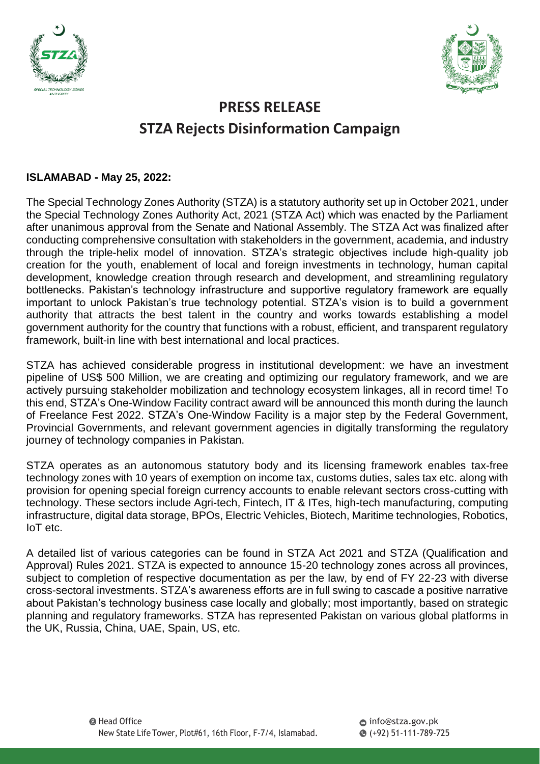



## **PRESS RELEASE STZA Rejects Disinformation Campaign**

## **ISLAMABAD - May 25, 2022:**

The Special Technology Zones Authority (STZA) is a statutory authority set up in October 2021, under the Special Technology Zones Authority Act, 2021 (STZA Act) which was enacted by the Parliament after unanimous approval from the Senate and National Assembly. The STZA Act was finalized after conducting comprehensive consultation with stakeholders in the government, academia, and industry through the triple-helix model of innovation. STZA's strategic objectives include high-quality job creation for the youth, enablement of local and foreign investments in technology, human capital development, knowledge creation through research and development, and streamlining regulatory bottlenecks. Pakistan's technology infrastructure and supportive regulatory framework are equally important to unlock Pakistan's true technology potential. STZA's vision is to build a government authority that attracts the best talent in the country and works towards establishing a model government authority for the country that functions with a robust, efficient, and transparent regulatory framework, built-in line with best international and local practices.

STZA has achieved considerable progress in institutional development: we have an investment pipeline of US\$ 500 Million, we are creating and optimizing our regulatory framework, and we are actively pursuing stakeholder mobilization and technology ecosystem linkages, all in record time! To this end, STZA's One-Window Facility contract award will be announced this month during the launch of Freelance Fest 2022. STZA's One-Window Facility is a major step by the Federal Government, Provincial Governments, and relevant government agencies in digitally transforming the regulatory journey of technology companies in Pakistan.

STZA operates as an autonomous statutory body and its licensing framework enables tax-free technology zones with 10 years of exemption on income tax, customs duties, sales tax etc. along with provision for opening special foreign currency accounts to enable relevant sectors cross-cutting with technology. These sectors include Agri-tech, Fintech, IT & ITes, high-tech manufacturing, computing infrastructure, digital data storage, BPOs, Electric Vehicles, Biotech, Maritime technologies, Robotics, IoT etc.

A detailed list of various categories can be found in STZA Act 2021 and STZA (Qualification and Approval) Rules 2021. STZA is expected to announce 15-20 technology zones across all provinces, subject to completion of respective documentation as per the law, by end of FY 22-23 with diverse cross-sectoral investments. STZA's awareness efforts are in full swing to cascade a positive narrative about Pakistan's technology business case locally and globally; most importantly, based on strategic planning and regulatory frameworks. STZA has represented Pakistan on various global platforms in the UK, Russia, China, UAE, Spain, US, etc.